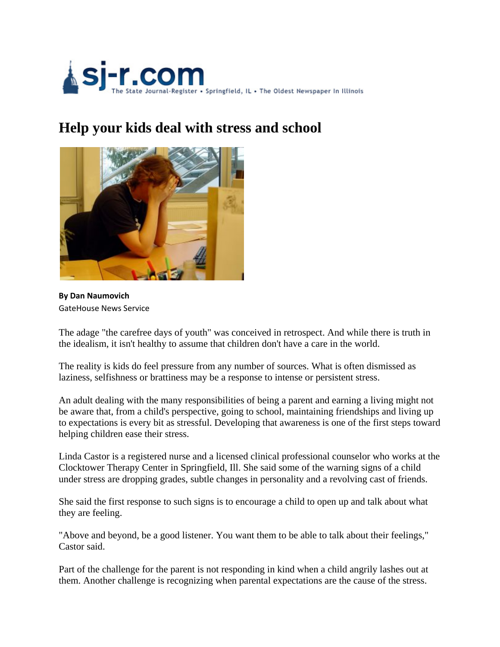

## **Help your kids deal with stress and school**



**By Dan Naumovich** GateHouse News Service

The adage "the carefree days of youth" was conceived in retrospect. And while there is truth in the idealism, it isn't healthy to assume that children don't have a care in the world.

The reality is kids do feel pressure from any number of sources. What is often dismissed as laziness, selfishness or brattiness may be a response to intense or persistent stress.

An adult dealing with the many responsibilities of being a parent and earning a living might not be aware that, from a child's perspective, going to school, maintaining friendships and living up to expectations is every bit as stressful. Developing that awareness is one of the first steps toward helping children ease their stress.

Linda Castor is a registered nurse and a licensed clinical professional counselor who works at the Clocktower Therapy Center in Springfield, Ill. She said some of the warning signs of a child under stress are dropping grades, subtle changes in personality and a revolving cast of friends.

She said the first response to such signs is to encourage a child to open up and talk about what they are feeling.

"Above and beyond, be a good listener. You want them to be able to talk about their feelings," Castor said.

Part of the challenge for the parent is not responding in kind when a child angrily lashes out at them. Another challenge is recognizing when parental expectations are the cause of the stress.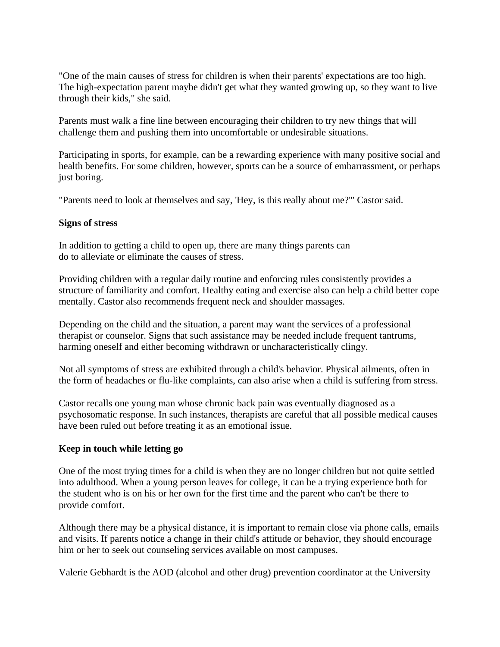"One of the main causes of stress for children is when their parents' expectations are too high. The high-expectation parent maybe didn't get what they wanted growing up, so they want to live through their kids," she said.

Parents must walk a fine line between encouraging their children to try new things that will challenge them and pushing them into uncomfortable or undesirable situations.

Participating in sports, for example, can be a rewarding experience with many positive social and health benefits. For some children, however, sports can be a source of embarrassment, or perhaps just boring.

"Parents need to look at themselves and say, 'Hey, is this really about me?'" Castor said.

## **Signs of stress**

In addition to getting a child to open up, there are many things parents can do to alleviate or eliminate the causes of stress.

Providing children with a regular daily routine and enforcing rules consistently provides a structure of familiarity and comfort. Healthy eating and exercise also can help a child better cope mentally. Castor also recommends frequent neck and shoulder massages.

Depending on the child and the situation, a parent may want the services of a professional therapist or counselor. Signs that such assistance may be needed include frequent tantrums, harming oneself and either becoming withdrawn or uncharacteristically clingy.

Not all symptoms of stress are exhibited through a child's behavior. Physical ailments, often in the form of headaches or flu-like complaints, can also arise when a child is suffering from stress.

Castor recalls one young man whose chronic back pain was eventually diagnosed as a psychosomatic response. In such instances, therapists are careful that all possible medical causes have been ruled out before treating it as an emotional issue.

## **Keep in touch while letting go**

One of the most trying times for a child is when they are no longer children but not quite settled into adulthood. When a young person leaves for college, it can be a trying experience both for the student who is on his or her own for the first time and the parent who can't be there to provide comfort.

Although there may be a physical distance, it is important to remain close via phone calls, emails and visits. If parents notice a change in their child's attitude or behavior, they should encourage him or her to seek out counseling services available on most campuses.

Valerie Gebhardt is the AOD (alcohol and other drug) prevention coordinator at the University